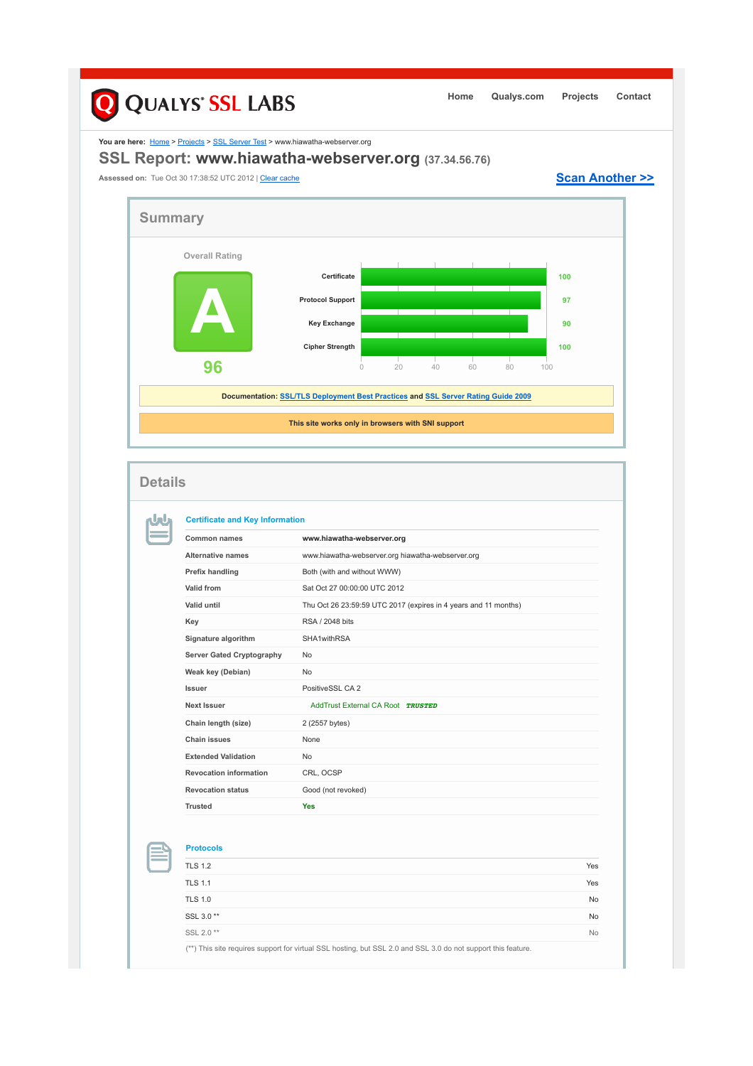## Q QUALYS' SSL LABS **Home Qualys.com Projects Contact** You are here: **Home > Projects > SSL Server Test > www.hiawatha-webserver.org SSL Report: www.hiawatha-webserver.org (37.34.56.76)** Assessed on: Tue Oct 30 17:38:52 UTC 2012 | Clear cache **Scan Another >> Summary Overall Rating Certificate 1000 A Protocol Support 97 Key Exchange 90 Cipher Strength 100 96** 0 20 40 60 80 100 **Documentation: SSL/TLS Deployment Best Practices and SSL Server Rating Guide 2009 This site works only in browsers with SNI support Details Certificate and Key Information** nJnu **Common names www.hiawatha-webserver.org Alternative names** www.hiawatha-webserver.org hiawatha-webserver.org **Prefix handling Both (with and without WWW) Valid from** Sat Oct 27 00:00:00 UTC 2012 **Valid until** Thu Oct 26 23:59:59 UTC 2017 (expires in 4 years and 11 months) **Key** RSA / 2048 bits **Signature algorithm** SHA1withRSA Server Gated Cryptography No **Weak key (Debian)** No **Issuer** PositiveSSL CA 2 **Next Issuer Next Issuer** AddTrust External CA Root **TRUSTED** Chain length (size) 2 (2557 bytes) **Chain issues** None

**Extended Validation** No **Revocation information** CRL, OCSP **Revocation status** Good (not revoked) **Trusted Yes**

**Protocols**

| .                                                                                                             |           |
|---------------------------------------------------------------------------------------------------------------|-----------|
| <b>TLS 1.2</b>                                                                                                | Yes       |
| <b>TLS 1.1</b>                                                                                                | Yes       |
| <b>TLS 1.0</b>                                                                                                | <b>No</b> |
| SSL 3.0**                                                                                                     | <b>No</b> |
| SSL 2.0 **                                                                                                    | <b>No</b> |
| (**) This site requires support for virtual SSL hosting, but SSL 2.0 and SSL 3.0 do not support this feature. |           |